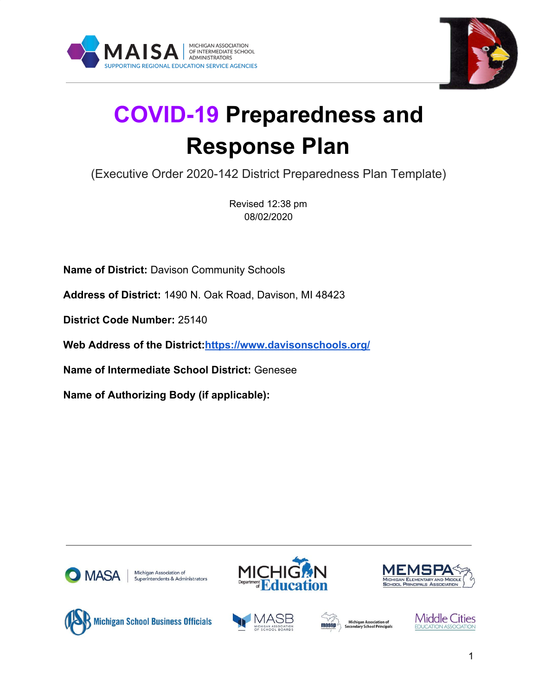



# **COVID-19 Preparedness and Response Plan**

(Executive Order 2020-142 District Preparedness Plan Template)

Revised 12:38 pm 08/02/2020

**Name of District:** Davison Community Schools

**Address of District:** 1490 N. Oak Road, Davison, MI 48423

**District Code Number:** 25140

**Web Address of the District[:https://www.davisonschools.org/](https://www.davisonschools.org/)**

**Name of Intermediate School District:** Genesee

**Name of Authorizing Body (if applicable):**



Michigan Association of Superintendents & Administrators











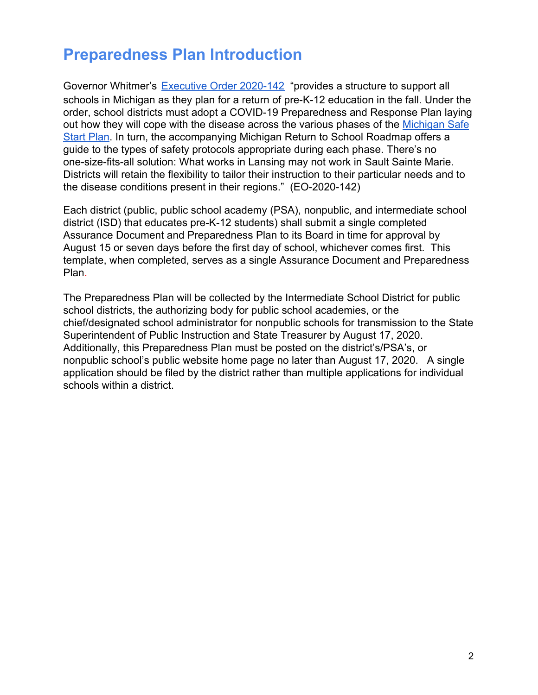# **Preparedness Plan Introduction**

Governor Whitmer's [Executive Order 2020-142](https://content.govdelivery.com/attachments/MIEOG/2020/06/30/file_attachments/1485859/EO%202020-142.pdf) "provides a structure to support all schools in Michigan as they plan for a return of pre-K-12 education in the fall. Under the order, school districts must adopt a COVID-19 Preparedness and Response Plan laying out how they will cope with the disease across the various phases of the [Michigan Safe](https://www.michigan.gov/documents/whitmer/MI_SAFE_START_PLAN_689875_7.pdf) [Start Plan](https://www.michigan.gov/documents/whitmer/MI_SAFE_START_PLAN_689875_7.pdf). In turn, the accompanying Michigan Return to School Roadmap offers a guide to the types of safety protocols appropriate during each phase. There's no one-size-fits-all solution: What works in Lansing may not work in Sault Sainte Marie. Districts will retain the flexibility to tailor their instruction to their particular needs and to the disease conditions present in their regions." (EO-2020-142)

Each district (public, public school academy (PSA), nonpublic, and intermediate school district (ISD) that educates pre-K-12 students) shall submit a single completed Assurance Document and Preparedness Plan to its Board in time for approval by August 15 or seven days before the first day of school, whichever comes first. This template, when completed, serves as a single Assurance Document and Preparedness Plan.

The Preparedness Plan will be collected by the Intermediate School District for public school districts, the authorizing body for public school academies, or the chief/designated school administrator for nonpublic schools for transmission to the State Superintendent of Public Instruction and State Treasurer by August 17, 2020. Additionally, this Preparedness Plan must be posted on the district's/PSA's, or nonpublic school's public website home page no later than August 17, 2020. A single application should be filed by the district rather than multiple applications for individual schools within a district.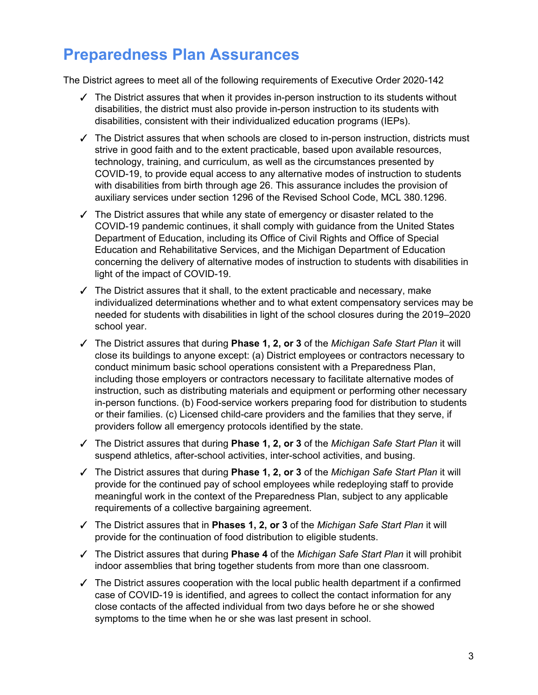# **Preparedness Plan Assurances**

The District agrees to meet all of the following requirements of Executive Order 2020-142

- $\checkmark$  The District assures that when it provides in-person instruction to its students without disabilities, the district must also provide in-person instruction to its students with disabilities, consistent with their individualized education programs (IEPs).
- ✓ The District assures that when schools are closed to in-person instruction, districts must strive in good faith and to the extent practicable, based upon available resources, technology, training, and curriculum, as well as the circumstances presented by COVID-19, to provide equal access to any alternative modes of instruction to students with disabilities from birth through age 26. This assurance includes the provision of auxiliary services under section 1296 of the Revised School Code, MCL 380.1296.
- $\checkmark$  The District assures that while any state of emergency or disaster related to the COVID-19 pandemic continues, it shall comply with guidance from the United States Department of Education, including its Office of Civil Rights and Office of Special Education and Rehabilitative Services, and the Michigan Department of Education concerning the delivery of alternative modes of instruction to students with disabilities in light of the impact of COVID-19.
- $\checkmark$  The District assures that it shall, to the extent practicable and necessary, make individualized determinations whether and to what extent compensatory services may be needed for students with disabilities in light of the school closures during the 2019–2020 school year.
- ✓ The District assures that during **Phase 1, 2, or 3** of the *Michigan Safe Start Plan* it will close its buildings to anyone except: (a) District employees or contractors necessary to conduct minimum basic school operations consistent with a Preparedness Plan, including those employers or contractors necessary to facilitate alternative modes of instruction, such as distributing materials and equipment or performing other necessary in-person functions. (b) Food-service workers preparing food for distribution to students or their families. (c) Licensed child-care providers and the families that they serve, if providers follow all emergency protocols identified by the state.
- ✓ The District assures that during **Phase 1, 2, or 3** of the *Michigan Safe Start Plan* it will suspend athletics, after-school activities, inter-school activities, and busing.
- ✓ The District assures that during **Phase 1, 2, or 3** of the *Michigan Safe Start Plan* it will provide for the continued pay of school employees while redeploying staff to provide meaningful work in the context of the Preparedness Plan, subject to any applicable requirements of a collective bargaining agreement.
- ✓ The District assures that in **Phases 1, 2, or 3** of the *Michigan Safe Start Plan* it will provide for the continuation of food distribution to eligible students.
- ✓ The District assures that during **Phase 4** of the *Michigan Safe Start Plan* it will prohibit indoor assemblies that bring together students from more than one classroom.
- $\checkmark$  The District assures cooperation with the local public health department if a confirmed case of COVID-19 is identified, and agrees to collect the contact information for any close contacts of the affected individual from two days before he or she showed symptoms to the time when he or she was last present in school.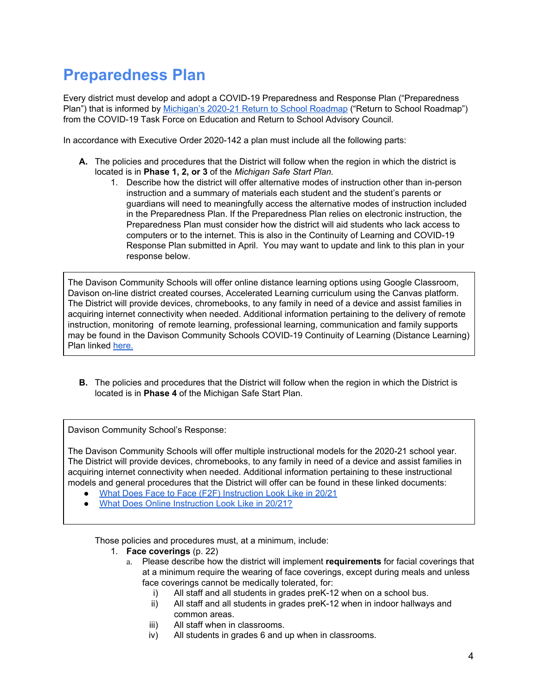# **Preparedness Plan**

Every district must develop and adopt a COVID-19 Preparedness and Response Plan ("Preparedness Plan") that is informed by [Michigan's](https://www.michigan.gov/documents/whitmer/MI_Safe_Schools_Roadmap_FINAL_695392_7.pdf) 2020-21 Return to School Roadmap ("Return to School Roadmap") from the COVID-19 Task Force on Education and Return to School Advisory Council.

In accordance with Executive Order 2020-142 a plan must include all the following parts:

- **A.** The policies and procedures that the District will follow when the region in which the district is located is in **Phase 1, 2, or 3** of the *Michigan Safe Start Plan.*
	- 1. Describe how the district will offer alternative modes of instruction other than in-person instruction and a summary of materials each student and the student's parents or guardians will need to meaningfully access the alternative modes of instruction included in the Preparedness Plan. If the Preparedness Plan relies on electronic instruction, the Preparedness Plan must consider how the district will aid students who lack access to computers or to the internet. This is also in the Continuity of Learning and COVID-19 Response Plan submitted in April. You may want to update and link to this plan in your response below.

The Davison Community Schools will offer online distance learning options using Google Classroom, Davison on-line district created courses, Accelerated Learning curriculum using the Canvas platform. The District will provide devices, chromebooks, to any family in need of a device and assist families in acquiring internet connectivity when needed. Additional information pertaining to the delivery of remote instruction, monitoring of remote learning, professional learning, communication and family supports may be found in the Davison Community Schools COVID-19 Continuity of Learning (Distance Learning) Plan linked [here.](https://docs.google.com/document/d/18c0JLDjRT1BYFV6-8GAM8rwNG6pvPKE6C19bbPja7Zk/edit?usp=sharing)

**B.** The policies and procedures that the District will follow when the region in which the District is located is in **Phase 4** of the Michigan Safe Start Plan.

Davison Community School's Response:

The Davison Community Schools will offer multiple instructional models for the 2020-21 school year. The District will provide devices, chromebooks, to any family in need of a device and assist families in acquiring internet connectivity when needed. Additional information pertaining to these instructional models and general procedures that the District will offer can be found in these linked documents:

- What Does Face to Face (F2F) [Instruction](https://docs.google.com/document/d/1wdxDtm7mvlQaV78OiYn2S4-igEarlqctPXqsyJ65Qlc/edit?usp=sharing) Look Like in 20/21
- What Does Online [Instruction](https://docs.google.com/document/d/1Vmk3_g7NYNGuCRepd6PdLlGaKc6WRYEa5uoDRMapS7U/edit?usp=sharing) Look Like in 20/21?

Those policies and procedures must, at a minimum, include:

- 1. **Face coverings** (p. 22)
	- a. Please describe how the district will implement **requirements** for facial coverings that at a minimum require the wearing of face coverings, except during meals and unless face coverings cannot be medically tolerated, for:
		- i) All staff and all students in grades preK-12 when on a school bus.
		- ii) All staff and all students in grades preK-12 when in indoor hallways and common areas.
		- iii) All staff when in classrooms.
		- iv) All students in grades 6 and up when in classrooms.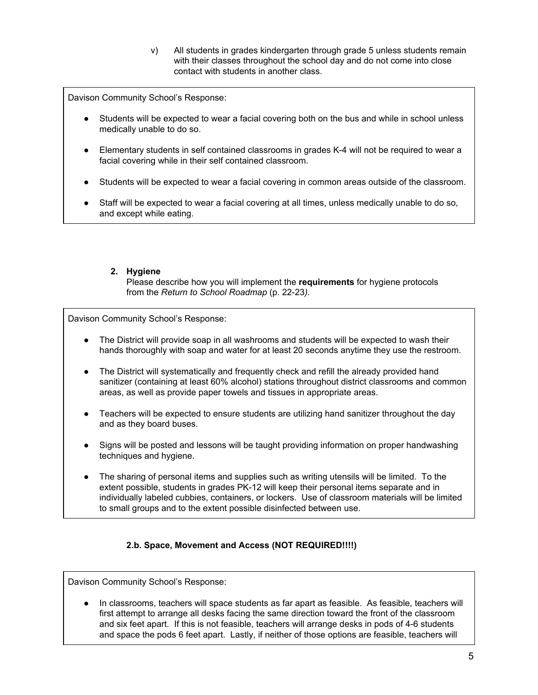v) All students in grades kindergarten through grade 5 unless students remain with their classes throughout the school day and do not come into close contact with students in another class.

Davison Community School's Response:

- Students will be expected to wear a facial covering both on the bus and while in school unless medically unable to do so.
- Elementary students in self contained classrooms in grades K-4 will not be required to wear a facial covering while in their self contained classroom.
- Students will be expected to wear a facial covering in common areas outside of the classroom.
- Staff will be expected to wear a facial covering at all times, unless medically unable to do so, and except while eating.

#### **2. Hygiene**

Please describe how you will implement the **requirements** for hygiene protocols from the *Return to School Roadmap* (p. 22-23*).*

Davison Community School's Response:

- The District will provide soap in all washrooms and students will be expected to wash their hands thoroughly with soap and water for at least 20 seconds anytime they use the restroom.
- The District will systematically and frequently check and refill the already provided hand sanitizer (containing at least 60% alcohol) stations throughout district classrooms and common areas, as well as provide paper towels and tissues in appropriate areas.
- Teachers will be expected to ensure students are utilizing hand sanitizer throughout the day and as they board buses.
- Signs will be posted and lessons will be taught providing information on proper handwashing techniques and hygiene.
- The sharing of personal items and supplies such as writing utensils will be limited. To the extent possible, students in grades PK-12 will keep their personal items separate and in individually labeled cubbies, containers, or lockers. Use of classroom materials will be limited to small groups and to the extent possible disinfected between use.

### **2.b. Space, Movement and Access (NOT REQUIRED!!!!)**

Davison Community School's Response:

In classrooms, teachers will space students as far apart as feasible. As feasible, teachers will first attempt to arrange all desks facing the same direction toward the front of the classroom and six feet apart. If this is not feasible, teachers will arrange desks in pods of 4-6 students and space the pods 6 feet apart. Lastly, if neither of those options are feasible, teachers will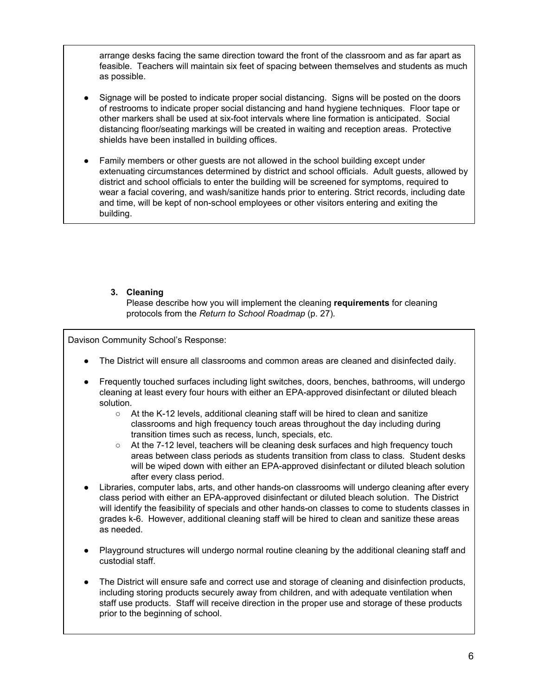arrange desks facing the same direction toward the front of the classroom and as far apart as feasible. Teachers will maintain six feet of spacing between themselves and students as much as possible.

- Signage will be posted to indicate proper social distancing. Signs will be posted on the doors of restrooms to indicate proper social distancing and hand hygiene techniques. Floor tape or other markers shall be used at six-foot intervals where line formation is anticipated. Social distancing floor/seating markings will be created in waiting and reception areas. Protective shields have been installed in building offices.
- Family members or other guests are not allowed in the school building except under extenuating circumstances determined by district and school officials. Adult guests, allowed by district and school officials to enter the building will be screened for symptoms, required to wear a facial covering, and wash/sanitize hands prior to entering. Strict records, including date and time, will be kept of non-school employees or other visitors entering and exiting the building.

### **3. Cleaning**

Please describe how you will implement the cleaning **requirements** for cleaning protocols from the *Return to School Roadmap* (p. 27)*.*

Davison Community School's Response:

- The District will ensure all classrooms and common areas are cleaned and disinfected daily.
- Frequently touched surfaces including light switches, doors, benches, bathrooms, will undergo cleaning at least every four hours with either an EPA-approved disinfectant or diluted bleach solution.
	- $\circ$  At the K-12 levels, additional cleaning staff will be hired to clean and sanitize classrooms and high frequency touch areas throughout the day including during transition times such as recess, lunch, specials, etc.
	- $\circ$  At the 7-12 level, teachers will be cleaning desk surfaces and high frequency touch areas between class periods as students transition from class to class. Student desks will be wiped down with either an EPA-approved disinfectant or diluted bleach solution after every class period.
- Libraries, computer labs, arts, and other hands-on classrooms will undergo cleaning after every class period with either an EPA-approved disinfectant or diluted bleach solution. The District will identify the feasibility of specials and other hands-on classes to come to students classes in grades k-6. However, additional cleaning staff will be hired to clean and sanitize these areas as needed.
- Playground structures will undergo normal routine cleaning by the additional cleaning staff and custodial staff.
- The District will ensure safe and correct use and storage of cleaning and disinfection products, including storing products securely away from children, and with adequate ventilation when staff use products. Staff will receive direction in the proper use and storage of these products prior to the beginning of school.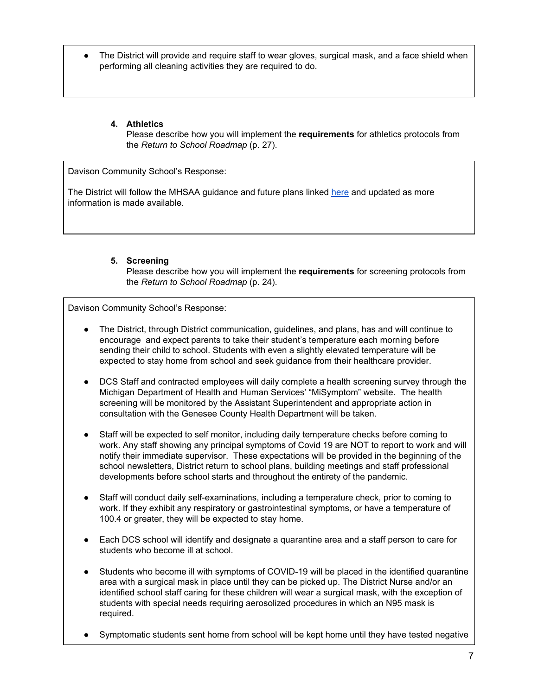The District will provide and require staff to wear gloves, surgical mask, and a face shield when performing all cleaning activities they are required to do.

#### **4. Athletics**

Please describe how you will implement the **requirements** for athletics protocols from the *Return to School Roadmap* (p. 27).

Davison Community School's Response:

The District will follow the MHSAA guidance and future plans linked [here](https://www.mhsaa.com/News/Press-Releases/articleType/ArticleView/articleId/9177/MHSAA-Announces-Fall-Sports-Will-Kick-Off-2020-21-School-Year-as-Traditionally-Scheduled) and updated as more information is made available.

#### **5. Screening**

Please describe how you will implement the **requirements** for screening protocols from the *Return to School Roadmap* (p. 24).

Davison Community School's Response:

- The District, through District communication, guidelines, and plans, has and will continue to encourage and expect parents to take their student's temperature each morning before sending their child to school. Students with even a slightly elevated temperature will be expected to stay home from school and seek guidance from their healthcare provider.
- DCS Staff and contracted employees will daily complete a health screening survey through the Michigan Department of Health and Human Services' "MiSymptom" website. The health screening will be monitored by the Assistant Superintendent and appropriate action in consultation with the Genesee County Health Department will be taken.
- Staff will be expected to self monitor, including daily temperature checks before coming to work. Any staff showing any principal symptoms of Covid 19 are NOT to report to work and will notify their immediate supervisor. These expectations will be provided in the beginning of the school newsletters, District return to school plans, building meetings and staff professional developments before school starts and throughout the entirety of the pandemic.
- Staff will conduct daily self-examinations, including a temperature check, prior to coming to work. If they exhibit any respiratory or gastrointestinal symptoms, or have a temperature of 100.4 or greater, they will be expected to stay home.
- Each DCS school will identify and designate a quarantine area and a staff person to care for students who become ill at school.
- Students who become ill with symptoms of COVID-19 will be placed in the identified quarantine area with a surgical mask in place until they can be picked up. The District Nurse and/or an identified school staff caring for these children will wear a surgical mask, with the exception of students with special needs requiring aerosolized procedures in which an N95 mask is required.
- Symptomatic students sent home from school will be kept home until they have tested negative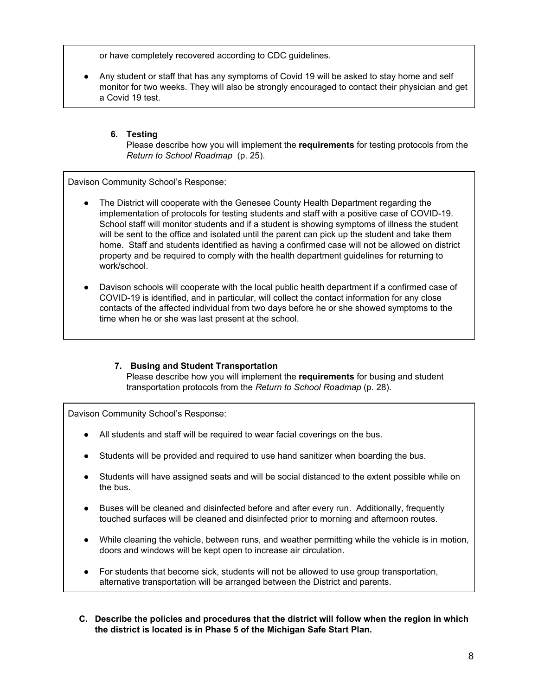or have completely recovered according to CDC guidelines.

Any student or staff that has any symptoms of Covid 19 will be asked to stay home and self monitor for two weeks. They will also be strongly encouraged to contact their physician and get a Covid 19 test.

#### **6. Testing**

Please describe how you will implement the **requirements** for testing protocols from the *Return to School Roadmap* (p. 25).

Davison Community School's Response:

- The District will cooperate with the Genesee County Health Department regarding the implementation of protocols for testing students and staff with a positive case of COVID-19. School staff will monitor students and if a student is showing symptoms of illness the student will be sent to the office and isolated until the parent can pick up the student and take them home. Staff and students identified as having a confirmed case will not be allowed on district property and be required to comply with the health department guidelines for returning to work/school.
- Davison schools will cooperate with the local public health department if a confirmed case of COVID-19 is identified, and in particular, will collect the contact information for any close contacts of the affected individual from two days before he or she showed symptoms to the time when he or she was last present at the school.

#### **7. Busing and Student Transportation**

Please describe how you will implement the **requirements** for busing and student transportation protocols from the *Return to School Roadmap* (p. 28).

Davison Community School's Response:

- All students and staff will be required to wear facial coverings on the bus.
- Students will be provided and required to use hand sanitizer when boarding the bus.
- Students will have assigned seats and will be social distanced to the extent possible while on the bus.
- Buses will be cleaned and disinfected before and after every run. Additionally, frequently touched surfaces will be cleaned and disinfected prior to morning and afternoon routes.
- While cleaning the vehicle, between runs, and weather permitting while the vehicle is in motion, doors and windows will be kept open to increase air circulation.
- For students that become sick, students will not be allowed to use group transportation, alternative transportation will be arranged between the District and parents.
- **C. Describe the policies and procedures that the district will follow when the region in which the district is located is in Phase 5 of the Michigan Safe Start Plan.**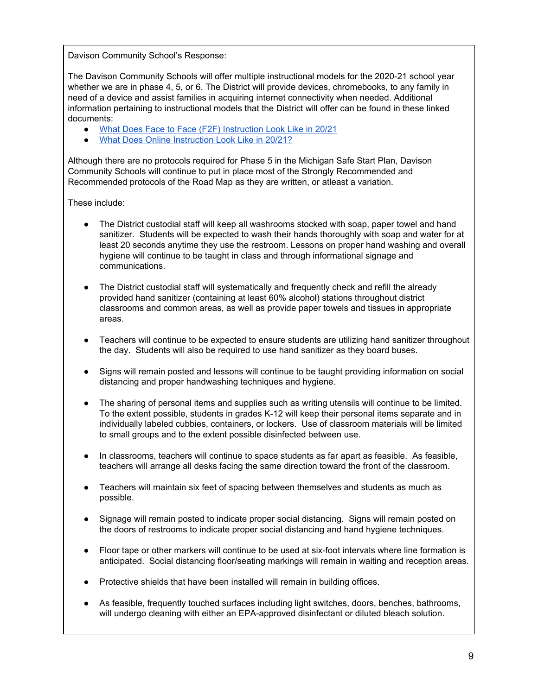Davison Community School's Response:

The Davison Community Schools will offer multiple instructional models for the 2020-21 school year whether we are in phase 4, 5, or 6. The District will provide devices, chromebooks, to any family in need of a device and assist families in acquiring internet connectivity when needed. Additional information pertaining to instructional models that the District will offer can be found in these linked documents:

- What Does Face to Face (F2F) [Instruction](https://docs.google.com/document/d/1wdxDtm7mvlQaV78OiYn2S4-igEarlqctPXqsyJ65Qlc/edit?usp=sharing) Look Like in 20/21
- What Does Online [Instruction](https://docs.google.com/document/d/1Vmk3_g7NYNGuCRepd6PdLlGaKc6WRYEa5uoDRMapS7U/edit?usp=sharing) Look Like in 20/21?

Although there are no protocols required for Phase 5 in the Michigan Safe Start Plan, Davison Community Schools will continue to put in place most of the Strongly Recommended and Recommended protocols of the Road Map as they are written, or atleast a variation.

These include:

- The District custodial staff will keep all washrooms stocked with soap, paper towel and hand sanitizer. Students will be expected to wash their hands thoroughly with soap and water for at least 20 seconds anytime they use the restroom. Lessons on proper hand washing and overall hygiene will continue to be taught in class and through informational signage and communications.
- The District custodial staff will systematically and frequently check and refill the already provided hand sanitizer (containing at least 60% alcohol) stations throughout district classrooms and common areas, as well as provide paper towels and tissues in appropriate areas.
- Teachers will continue to be expected to ensure students are utilizing hand sanitizer throughout the day. Students will also be required to use hand sanitizer as they board buses.
- Signs will remain posted and lessons will continue to be taught providing information on social distancing and proper handwashing techniques and hygiene.
- The sharing of personal items and supplies such as writing utensils will continue to be limited. To the extent possible, students in grades K-12 will keep their personal items separate and in individually labeled cubbies, containers, or lockers. Use of classroom materials will be limited to small groups and to the extent possible disinfected between use.
- In classrooms, teachers will continue to space students as far apart as feasible. As feasible, teachers will arrange all desks facing the same direction toward the front of the classroom.
- Teachers will maintain six feet of spacing between themselves and students as much as possible.
- Signage will remain posted to indicate proper social distancing. Signs will remain posted on the doors of restrooms to indicate proper social distancing and hand hygiene techniques.
- Floor tape or other markers will continue to be used at six-foot intervals where line formation is anticipated. Social distancing floor/seating markings will remain in waiting and reception areas.
- Protective shields that have been installed will remain in building offices.
- As feasible, frequently touched surfaces including light switches, doors, benches, bathrooms, will undergo cleaning with either an EPA-approved disinfectant or diluted bleach solution.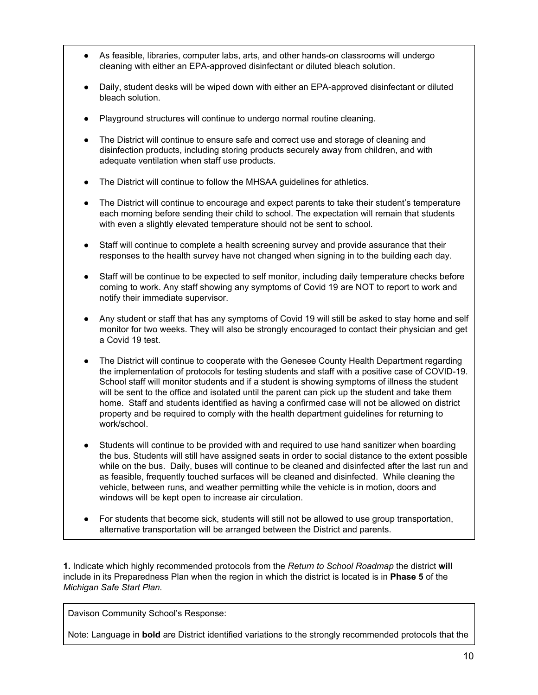- As feasible, libraries, computer labs, arts, and other hands-on classrooms will undergo cleaning with either an EPA-approved disinfectant or diluted bleach solution.
- Daily, student desks will be wiped down with either an EPA-approved disinfectant or diluted bleach solution.
- Playground structures will continue to undergo normal routine cleaning.
- The District will continue to ensure safe and correct use and storage of cleaning and disinfection products, including storing products securely away from children, and with adequate ventilation when staff use products.
- The District will continue to follow the MHSAA guidelines for athletics.
- The District will continue to encourage and expect parents to take their student's temperature each morning before sending their child to school. The expectation will remain that students with even a slightly elevated temperature should not be sent to school.
- Staff will continue to complete a health screening survey and provide assurance that their responses to the health survey have not changed when signing in to the building each day.
- Staff will be continue to be expected to self monitor, including daily temperature checks before coming to work. Any staff showing any symptoms of Covid 19 are NOT to report to work and notify their immediate supervisor.
- Any student or staff that has any symptoms of Covid 19 will still be asked to stay home and self monitor for two weeks. They will also be strongly encouraged to contact their physician and get a Covid 19 test.
- The District will continue to cooperate with the Genesee County Health Department regarding the implementation of protocols for testing students and staff with a positive case of COVID-19. School staff will monitor students and if a student is showing symptoms of illness the student will be sent to the office and isolated until the parent can pick up the student and take them home. Staff and students identified as having a confirmed case will not be allowed on district property and be required to comply with the health department guidelines for returning to work/school.
- Students will continue to be provided with and required to use hand sanitizer when boarding the bus. Students will still have assigned seats in order to social distance to the extent possible while on the bus. Daily, buses will continue to be cleaned and disinfected after the last run and as feasible, frequently touched surfaces will be cleaned and disinfected. While cleaning the vehicle, between runs, and weather permitting while the vehicle is in motion, doors and windows will be kept open to increase air circulation.
- For students that become sick, students will still not be allowed to use group transportation, alternative transportation will be arranged between the District and parents.

**1.** Indicate which highly recommended protocols from the *Return to School Roadmap* the district **will** include in its Preparedness Plan when the region in which the district is located is in **Phase 5** of the *Michigan Safe Start Plan.*

Davison Community School's Response:

Note: Language in **bold** are District identified variations to the strongly recommended protocols that the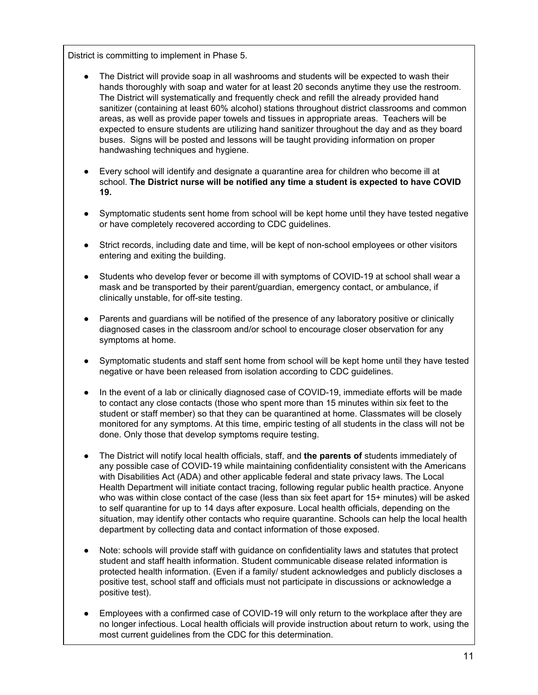District is committing to implement in Phase 5.

- The District will provide soap in all washrooms and students will be expected to wash their hands thoroughly with soap and water for at least 20 seconds anytime they use the restroom. The District will systematically and frequently check and refill the already provided hand sanitizer (containing at least 60% alcohol) stations throughout district classrooms and common areas, as well as provide paper towels and tissues in appropriate areas. Teachers will be expected to ensure students are utilizing hand sanitizer throughout the day and as they board buses. Signs will be posted and lessons will be taught providing information on proper handwashing techniques and hygiene.
- Every school will identify and designate a quarantine area for children who become ill at school. **The District nurse will be notified any time a student is expected to have COVID 19.**
- Symptomatic students sent home from school will be kept home until they have tested negative or have completely recovered according to CDC guidelines.
- Strict records, including date and time, will be kept of non-school employees or other visitors entering and exiting the building.
- Students who develop fever or become ill with symptoms of COVID-19 at school shall wear a mask and be transported by their parent/guardian, emergency contact, or ambulance, if clinically unstable, for off-site testing.
- Parents and guardians will be notified of the presence of any laboratory positive or clinically diagnosed cases in the classroom and/or school to encourage closer observation for any symptoms at home.
- Symptomatic students and staff sent home from school will be kept home until they have tested negative or have been released from isolation according to CDC guidelines.
- In the event of a lab or clinically diagnosed case of COVID-19, immediate efforts will be made to contact any close contacts (those who spent more than 15 minutes within six feet to the student or staff member) so that they can be quarantined at home. Classmates will be closely monitored for any symptoms. At this time, empiric testing of all students in the class will not be done. Only those that develop symptoms require testing.
- The District will notify local health officials, staff, and **the parents of** students immediately of any possible case of COVID-19 while maintaining confidentiality consistent with the Americans with Disabilities Act (ADA) and other applicable federal and state privacy laws. The Local Health Department will initiate contact tracing, following regular public health practice. Anyone who was within close contact of the case (less than six feet apart for 15+ minutes) will be asked to self quarantine for up to 14 days after exposure. Local health officials, depending on the situation, may identify other contacts who require quarantine. Schools can help the local health department by collecting data and contact information of those exposed.
- Note: schools will provide staff with guidance on confidentiality laws and statutes that protect student and staff health information. Student communicable disease related information is protected health information. (Even if a family/ student acknowledges and publicly discloses a positive test, school staff and officials must not participate in discussions or acknowledge a positive test).
- Employees with a confirmed case of COVID-19 will only return to the workplace after they are no longer infectious. Local health officials will provide instruction about return to work, using the most current guidelines from the CDC for this determination.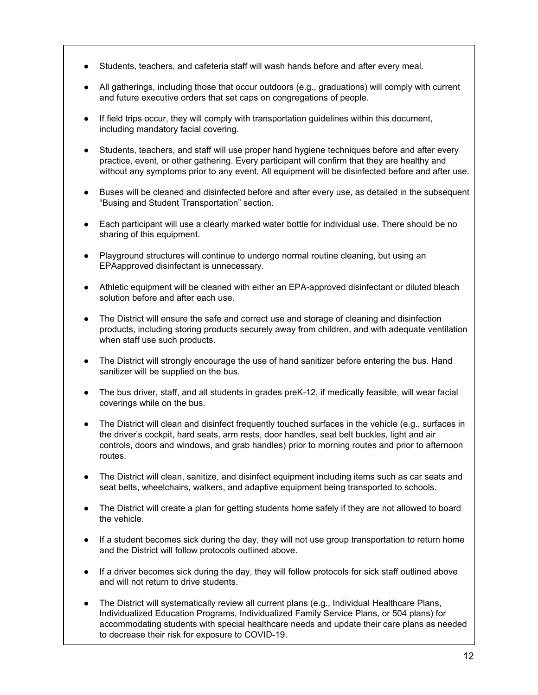- Students, teachers, and cafeteria staff will wash hands before and after every meal.
- All gatherings, including those that occur outdoors (e.g., graduations) will comply with current and future executive orders that set caps on congregations of people.
- If field trips occur, they will comply with transportation guidelines within this document, including mandatory facial covering.
- Students, teachers, and staff will use proper hand hygiene techniques before and after every practice, event, or other gathering. Every participant will confirm that they are healthy and without any symptoms prior to any event. All equipment will be disinfected before and after use.
- Buses will be cleaned and disinfected before and after every use, as detailed in the subsequent "Busing and Student Transportation" section.
- Each participant will use a clearly marked water bottle for individual use. There should be no sharing of this equipment.
- Playground structures will continue to undergo normal routine cleaning, but using an EPAapproved disinfectant is unnecessary.
- Athletic equipment will be cleaned with either an EPA-approved disinfectant or diluted bleach solution before and after each use.
- The District will ensure the safe and correct use and storage of cleaning and disinfection products, including storing products securely away from children, and with adequate ventilation when staff use such products.
- The District will strongly encourage the use of hand sanitizer before entering the bus. Hand sanitizer will be supplied on the bus.
- The bus driver, staff, and all students in grades preK-12, if medically feasible, will wear facial coverings while on the bus.
- The District will clean and disinfect frequently touched surfaces in the vehicle (e.g., surfaces in the driver's cockpit, hard seats, arm rests, door handles, seat belt buckles, light and air controls, doors and windows, and grab handles) prior to morning routes and prior to afternoon routes.
- The District will clean, sanitize, and disinfect equipment including items such as car seats and seat belts, wheelchairs, walkers, and adaptive equipment being transported to schools.
- The District will create a plan for getting students home safely if they are not allowed to board the vehicle.
- If a student becomes sick during the day, they will not use group transportation to return home and the District will follow protocols outlined above.
- If a driver becomes sick during the day, they will follow protocols for sick staff outlined above and will not return to drive students.
- The District will systematically review all current plans (e.g., Individual Healthcare Plans, Individualized Education Programs, Individualized Family Service Plans, or 504 plans) for accommodating students with special healthcare needs and update their care plans as needed to decrease their risk for exposure to COVID-19.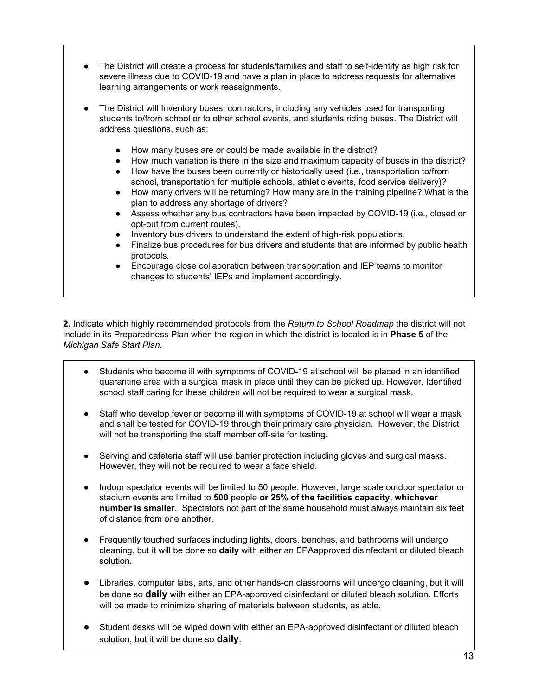- The District will create a process for students/families and staff to self-identify as high risk for severe illness due to COVID-19 and have a plan in place to address requests for alternative learning arrangements or work reassignments.
- The District will Inventory buses, contractors, including any vehicles used for transporting students to/from school or to other school events, and students riding buses. The District will address questions, such as:
	- How many buses are or could be made available in the district?
	- How much variation is there in the size and maximum capacity of buses in the district?
	- How have the buses been currently or historically used (i.e., transportation to/from school, transportation for multiple schools, athletic events, food service delivery)?
	- How many drivers will be returning? How many are in the training pipeline? What is the plan to address any shortage of drivers?
	- Assess whether any bus contractors have been impacted by COVID-19 (i.e., closed or opt-out from current routes).
	- Inventory bus drivers to understand the extent of high-risk populations.
	- Finalize bus procedures for bus drivers and students that are informed by public health protocols.
	- Encourage close collaboration between transportation and IEP teams to monitor changes to students' IEPs and implement accordingly.

**2.** Indicate which highly recommended protocols from the *Return to School Roadmap* the district will not include in its Preparedness Plan when the region in which the district is located is in **Phase 5** of the *Michigan Safe Start Plan.*

- Students who become ill with symptoms of COVID-19 at school will be placed in an identified quarantine area with a surgical mask in place until they can be picked up. However, Identified school staff caring for these children will not be required to wear a surgical mask.
- Staff who develop fever or become ill with symptoms of COVID-19 at school will wear a mask and shall be tested for COVID-19 through their primary care physician. However, the District will not be transporting the staff member off-site for testing.
- Serving and cafeteria staff will use barrier protection including gloves and surgical masks. However, they will not be required to wear a face shield.
- Indoor spectator events will be limited to 50 people. However, large scale outdoor spectator or stadium events are limited to **500** people **or 25% of the facilities capacity, whichever number is smaller**. Spectators not part of the same household must always maintain six feet of distance from one another.
- Frequently touched surfaces including lights, doors, benches, and bathrooms will undergo cleaning, but it will be done so **daily** with either an EPAapproved disinfectant or diluted bleach solution.
- Libraries, computer labs, arts, and other hands-on classrooms will undergo cleaning, but it will be done so **daily** with either an EPA-approved disinfectant or diluted bleach solution. Efforts will be made to minimize sharing of materials between students, as able.
- Student desks will be wiped down with either an EPA-approved disinfectant or diluted bleach solution, but it will be done so **daily**.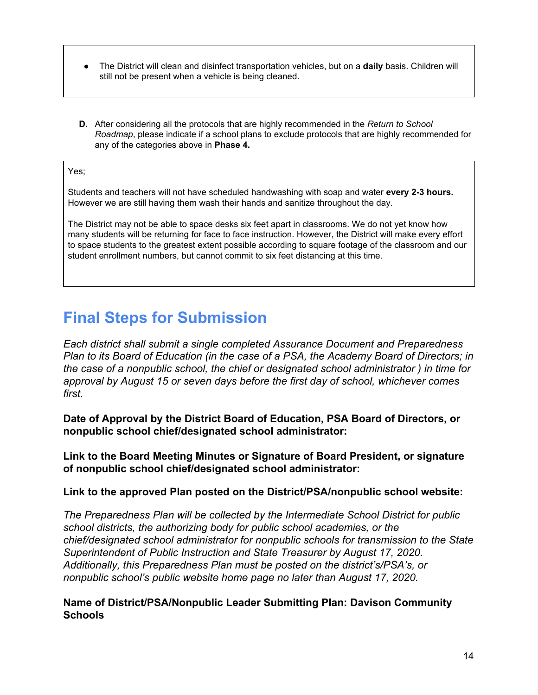- The District will clean and disinfect transportation vehicles, but on a **daily** basis. Children will still not be present when a vehicle is being cleaned.
- **D.** After considering all the protocols that are highly recommended in the *Return to School Roadmap*, please indicate if a school plans to exclude protocols that are highly recommended for any of the categories above in **Phase 4.**

#### Yes;

Students and teachers will not have scheduled handwashing with soap and water **every 2-3 hours.** However we are still having them wash their hands and sanitize throughout the day.

The District may not be able to space desks six feet apart in classrooms. We do not yet know how many students will be returning for face to face instruction. However, the District will make every effort to space students to the greatest extent possible according to square footage of the classroom and our student enrollment numbers, but cannot commit to six feet distancing at this time.

### **Final Steps for Submission**

*Each district shall submit a single completed Assurance Document and Preparedness Plan to its Board of Education (in the case of a PSA, the Academy Board of Directors; in the case of a nonpublic school, the chief or designated school administrator ) in time for approval by August 15 or seven days before the first day of school, whichever comes first*.

**Date of Approval by the District Board of Education, PSA Board of Directors, or nonpublic school chief/designated school administrator:**

**Link to the Board Meeting Minutes or Signature of Board President, or signature of nonpublic school chief/designated school administrator:**

**Link to the approved Plan posted on the District/PSA/nonpublic school website:**

*The Preparedness Plan will be collected by the Intermediate School District for public school districts, the authorizing body for public school academies, or the chief/designated school administrator for nonpublic schools for transmission to the State Superintendent of Public Instruction and State Treasurer by August 17, 2020. Additionally, this Preparedness Plan must be posted on the district's/PSA's, or nonpublic school's public website home page no later than August 17, 2020.*

### **Name of District/PSA/Nonpublic Leader Submitting Plan: Davison Community Schools**